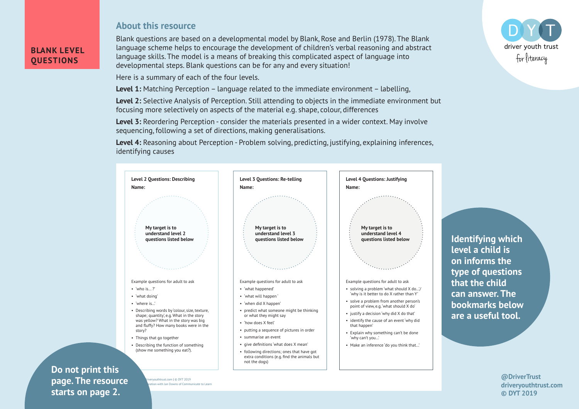## **About this resource**

Blank questions are based on a developmental model by Blank, Rose and Berlin (1978). The Blank language scheme helps to encourage the development of children's verbal reasoning and abstract language skills. The model is a means of breaking this complicated aspect of language into developmental steps. Blank questions can be for any and every situation!

Here is a summary of each of the four levels.

**Level 1:** Matching Perception – language related to the immediate environment – labelling,

**Level 2:** Selective Analysis of Perception. Still attending to objects in the immediate environment but focusing more selectively on aspects of the material e.g. shape, colour, differences

**Level 3:** Reordering Perception - consider the materials presented in a wider context. May involve sequencing, following a set of directions, making generalisations.

**Level 4:** Reasoning about Perception - Problem solving, predicting, justifying, explaining inferences, identifying causes



**Identifying which level a child is on informs the type of questions that the child can answer. The bookmarks below are a useful tool.**

> **@DriverTrust driveryouthtrust.com © DYT 2019**



## $\blacksquare$ **Example 12.** Starts on page 2. **Do not print this page. The resource**

**BLANK LEVEL QUESTIONS**

> @DriverTrust | driveryouthtrust.com | © DYT 2019 tion with Jan Downs of Communicate to Learn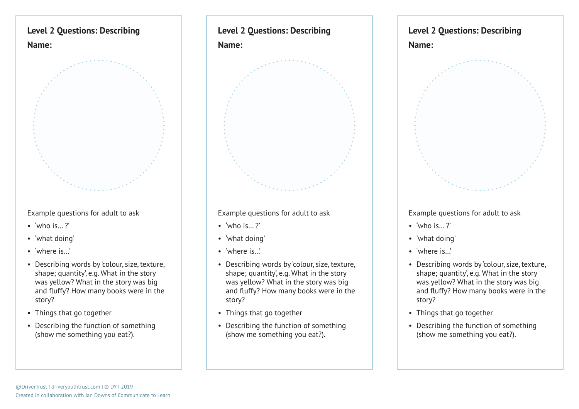

Example questions for adult to ask

- 'who is...?'
- 'what doing'
- 'where is.'
- Describing words by 'colour, size, texture, shape; quantity', e.g. What in the story was yellow? What in the story was big and fluffy? How many books were in the story?
- Things that go together
- Describing the function of something (show me something you eat?).

## **Level 2 Questions: Describing Name:**



Example questions for adult to ask

- 'who is...?'
- 'what doing'
- 'where is.'
- Describing words by 'colour, size, texture, shape; quantity', e.g. What in the story was yellow? What in the story was big and fluffy? How many books were in the story?
- Things that go together
- Describing the function of something (show me something you eat?).

## **Level 2 Questions: Describing**



Example questions for adult to ask

- 'who is...?'
- 'what doing'
- 'where is.
- Describing words by 'colour, size, texture, shape; quantity', e.g. What in the story was yellow? What in the story was big and fluffy? How many books were in the story?
- Things that go together
- Describing the function of something (show me something you eat?).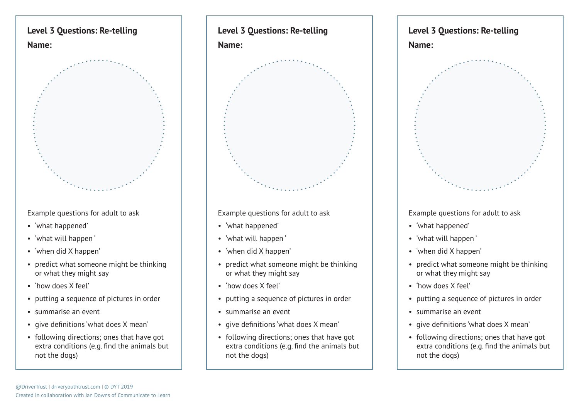

Example questions for adult to ask

- 'what happened'
- 'what will happen '
- 'when did X happen'
- predict what someone might be thinking or what they might say
- 'how does X feel'
- putting a sequence of pictures in order
- summarise an event
- give definitions 'what does X mean'
- following directions; ones that have got extra conditions (e.g. find the animals but not the dogs)



Example questions for adult to ask

- 'what happened'
- 'what will happen '
- 'when did X happen'
- predict what someone might be thinking or what they might say
- 'how does X feel'
- putting a sequence of pictures in order
- summarise an event
- give definitions 'what does X mean'
- following directions; ones that have got extra conditions (e.g. find the animals but not the dogs)



Example questions for adult to ask

- 'what happened'
- 'what will happen '
- 'when did X happen'
- predict what someone might be thinking or what they might say
- 'how does X feel'
- putting a sequence of pictures in order
- summarise an event
- give definitions 'what does X mean'
- following directions; ones that have got extra conditions (e.g. find the animals but not the dogs)